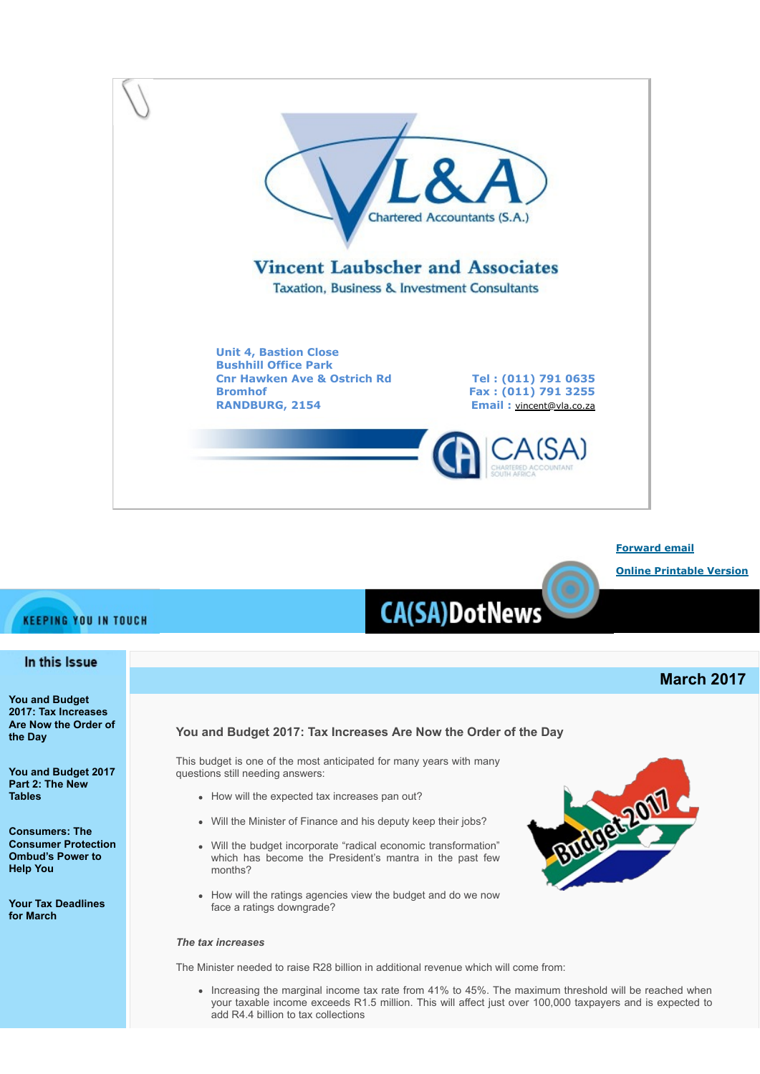

**[Forward email](http://www.dotnews.co.za/Code/Forward.aspx?qry=yKPR5eDKNlaukY9Ps7iCg2x6jj09JM_t9usE66dBvUMf-RjDjR4nv6MA_e2-ebyduOH-wWP-_u2uThI6zUpbOqkzwppPt_mN4Xp0DJSw0-wchlcEJbEz1N0tzc4QrHMbGYw4xd_79EhJfkPY17SAFA==-NOPAD) [Online Printable Version](http://www.dotnews.co.za/Code/print.aspx?qry=yKPR5eDKNlaukY9Ps7iCg2x6jj09JM_t9usE66dBvUMf-RjDjR4nv6MA_e2-ebyduOH-wWP-_u2uThI6zUpbOqkzwppPt_mN4Xp0DJSw0-xHqZjI1KXXPD-JFatNPZ4S-NOPAD)**

# **CA(SA)DotNews**

# **March 2017**

## <span id="page-0-0"></span>**You and Budget 2017: Tax Increases Are Now the Order of the Day**

This budget is one of the most anticipated for many years with many questions still needing answers:

- How will the expected tax increases pan out?
- Will the Minister of Finance and his deputy keep their jobs?
- Will the budget incorporate "radical economic transformation" which has become the President's mantra in the past few months?
- How will the ratings agencies view the budget and do we now face a ratings downgrade?

## *The tax increases*

The Minister needed to raise R28 billion in additional revenue which will come from:

• Increasing the marginal income tax rate from 41% to 45%. The maximum threshold will be reached when your taxable income exceeds R1.5 million. This will affect just over 100,000 taxpayers and is expected to add R4.4 billion to tax collections

## **KEEPING YOU IN TOUCH**

## In this Issue

**[You and Budget](#page-0-0) [2017: Tax Increases](#page-0-0) [Are Now the Order of](#page-0-0) [the Day](#page-0-0)**

**[You and Budget 2017](#page-2-0) [Part 2: The New](#page-2-0) [Tables](#page-2-0)**

**[Consumers: The](#page-4-0) [Consumer Protection](#page-4-0) [Ombud's Power to](#page-4-0) [Help You](#page-4-0)** 

**[Your Tax Deadlines](#page-4-1) [for March](#page-4-1)**

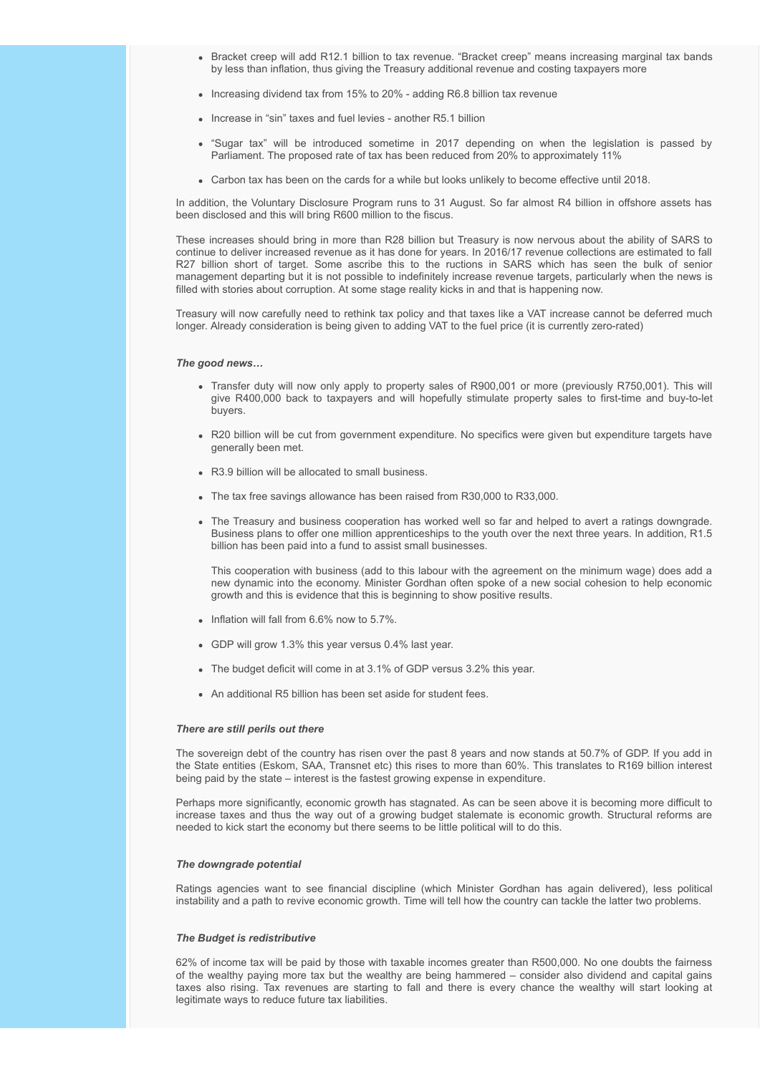- Bracket creep will add R12.1 billion to tax revenue. "Bracket creep" means increasing marginal tax bands by less than inflation, thus giving the Treasury additional revenue and costing taxpayers more
- Increasing dividend tax from 15% to 20% adding R6.8 billion tax revenue
- Increase in "sin" taxes and fuel levies another R5.1 billion
- "Sugar tax" will be introduced sometime in 2017 depending on when the legislation is passed by Parliament. The proposed rate of tax has been reduced from 20% to approximately 11%
- Carbon tax has been on the cards for a while but looks unlikely to become effective until 2018.

In addition, the Voluntary Disclosure Program runs to 31 August. So far almost R4 billion in offshore assets has been disclosed and this will bring R600 million to the fiscus.

These increases should bring in more than R28 billion but Treasury is now nervous about the ability of SARS to continue to deliver increased revenue as it has done for years. In 2016/17 revenue collections are estimated to fall R27 billion short of target. Some ascribe this to the ructions in SARS which has seen the bulk of senior management departing but it is not possible to indefinitely increase revenue targets, particularly when the news is filled with stories about corruption. At some stage reality kicks in and that is happening now.

Treasury will now carefully need to rethink tax policy and that taxes like a VAT increase cannot be deferred much longer. Already consideration is being given to adding VAT to the fuel price (it is currently zero-rated)

#### *The good news…*

- Transfer duty will now only apply to property sales of R900,001 or more (previously R750,001). This will give R400,000 back to taxpayers and will hopefully stimulate property sales to first-time and buy-to-let buyers.
- R20 billion will be cut from government expenditure. No specifics were given but expenditure targets have generally been met.
- R3.9 billion will be allocated to small business.
- The tax free savings allowance has been raised from R30,000 to R33,000.
- The Treasury and business cooperation has worked well so far and helped to avert a ratings downgrade. Business plans to offer one million apprenticeships to the youth over the next three years. In addition, R1.5 billion has been paid into a fund to assist small businesses.

This cooperation with business (add to this labour with the agreement on the minimum wage) does add a new dynamic into the economy. Minister Gordhan often spoke of a new social cohesion to help economic growth and this is evidence that this is beginning to show positive results.

- $\bullet$  Inflation will fall from 6.6% now to 5.7%.
- GDP will grow 1.3% this year versus 0.4% last year.
- The budget deficit will come in at 3.1% of GDP versus 3.2% this year.
- An additional R5 billion has been set aside for student fees.

#### *There are still perils out there*

The sovereign debt of the country has risen over the past 8 years and now stands at 50.7% of GDP. If you add in the State entities (Eskom, SAA, Transnet etc) this rises to more than 60%. This translates to R169 billion interest being paid by the state – interest is the fastest growing expense in expenditure.

Perhaps more significantly, economic growth has stagnated. As can be seen above it is becoming more difficult to increase taxes and thus the way out of a growing budget stalemate is economic growth. Structural reforms are needed to kick start the economy but there seems to be little political will to do this.

#### *The downgrade potential*

Ratings agencies want to see financial discipline (which Minister Gordhan has again delivered), less political instability and a path to revive economic growth. Time will tell how the country can tackle the latter two problems.

#### *The Budget is redistributive*

62% of income tax will be paid by those with taxable incomes greater than R500,000. No one doubts the fairness of the wealthy paying more tax but the wealthy are being hammered – consider also dividend and capital gains taxes also rising. Tax revenues are starting to fall and there is every chance the wealthy will start looking at legitimate ways to reduce future tax liabilities.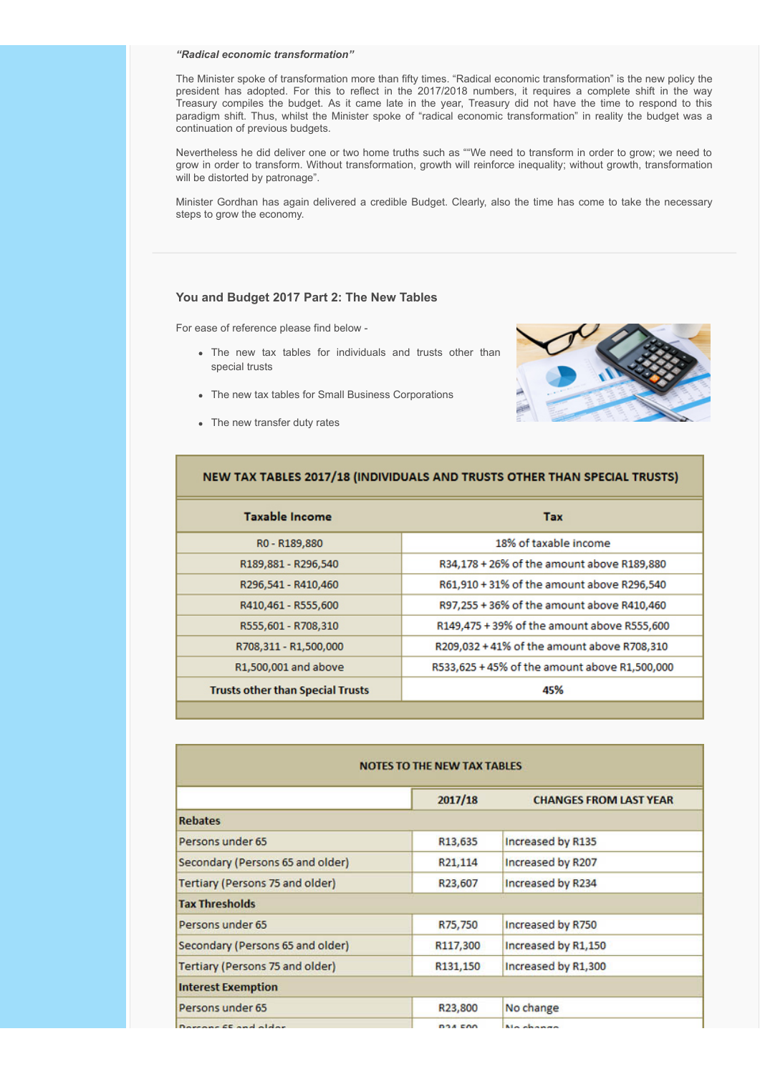#### *"Radical economic transformation"*

The Minister spoke of transformation more than fifty times. "Radical economic transformation" is the new policy the president has adopted. For this to reflect in the 2017/2018 numbers, it requires a complete shift in the way Treasury compiles the budget. As it came late in the year, Treasury did not have the time to respond to this paradigm shift. Thus, whilst the Minister spoke of "radical economic transformation" in reality the budget was a continuation of previous budgets.

Nevertheless he did deliver one or two home truths such as ""We need to transform in order to grow; we need to grow in order to transform. Without transformation, growth will reinforce inequality; without growth, transformation will be distorted by patronage".

Minister Gordhan has again delivered a credible Budget. Clearly, also the time has come to take the necessary steps to grow the economy.

#### <span id="page-2-0"></span>**You and Budget 2017 Part 2: The New Tables**

For ease of reference please find below -

- The new tax tables for individuals and trusts other than special trusts
- The new tax tables for Small Business Corporations
- The new transfer duty rates



| NEW TAX TABLES 2017/18 (INDIVIDUALS AND TRUSTS OTHER THAN SPECIAL TRUSTS) |                                               |  |
|---------------------------------------------------------------------------|-----------------------------------------------|--|
| <b>Taxable Income</b>                                                     | <b>Tax</b>                                    |  |
| R0 - R189,880                                                             | 18% of taxable income                         |  |
| R189,881 - R296,540                                                       | R34,178 + 26% of the amount above R189,880    |  |
| R296,541 - R410,460                                                       | R61,910 + 31% of the amount above R296,540    |  |
| R410,461 - R555,600                                                       | R97,255 + 36% of the amount above R410,460    |  |
| R555,601 - R708,310                                                       | R149,475 + 39% of the amount above R555,600   |  |
| R708,311 - R1,500,000                                                     | R209,032 + 41% of the amount above R708,310   |  |
| R1,500,001 and above                                                      | R533,625 + 45% of the amount above R1,500,000 |  |
| <b>Trusts other than Special Trusts</b>                                   | 45%                                           |  |
|                                                                           |                                               |  |

| <b>NOTES TO THE NEW TAX TABLES</b> |                |                               |  |  |
|------------------------------------|----------------|-------------------------------|--|--|
|                                    | 2017/18        | <b>CHANGES FROM LAST YEAR</b> |  |  |
| <b>Rebates</b>                     |                |                               |  |  |
| Persons under 65                   | R13,635        | Increased by R135             |  |  |
| Secondary (Persons 65 and older)   | R21,114        | Increased by R207             |  |  |
| Tertiary (Persons 75 and older)    | R23,607        | Increased by R234             |  |  |
| <b>Tax Thresholds</b>              |                |                               |  |  |
| Persons under 65                   | R75,750        | Increased by R750             |  |  |
| Secondary (Persons 65 and older)   | R117,300       | Increased by R1,150           |  |  |
| Tertiary (Persons 75 and older)    | R131,150       | Increased by R1,300           |  |  |
| <b>Interest Exemption</b>          |                |                               |  |  |
| Persons under 65                   | R23,800        | No change                     |  |  |
| Domanne CE and alder               | <b>DOA EOO</b> | Ma shower                     |  |  |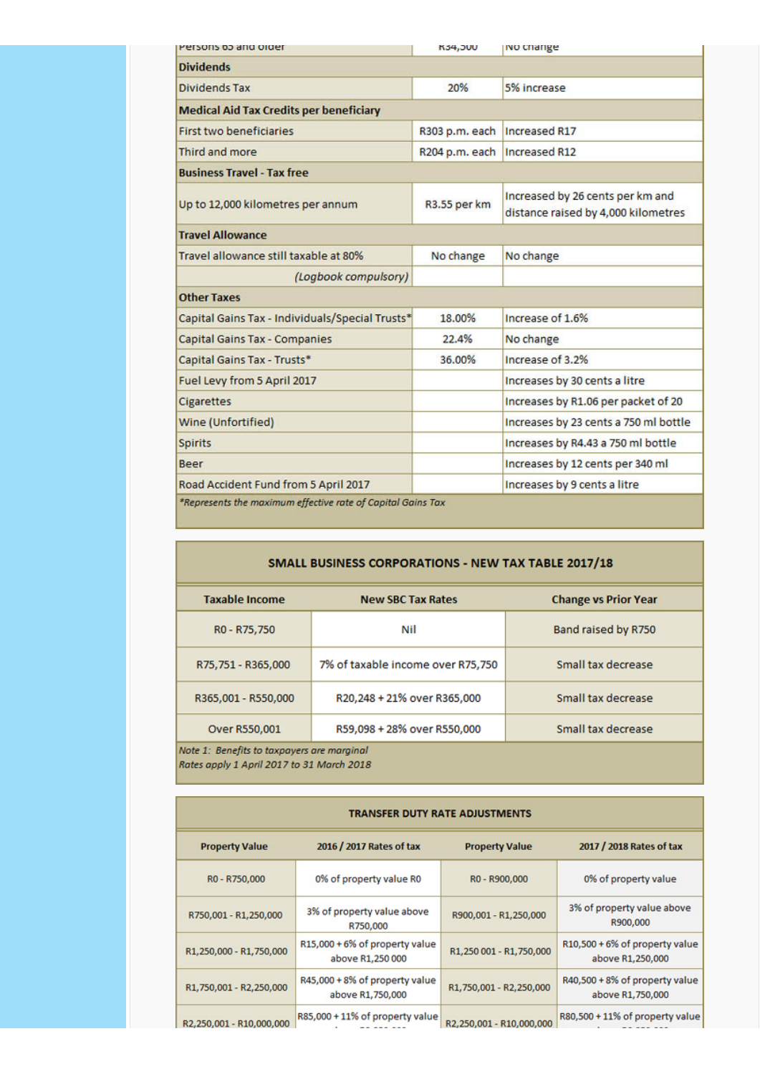| Persons to and order                                        | <b>N34,300</b>                 | ivo change                                                              |  |
|-------------------------------------------------------------|--------------------------------|-------------------------------------------------------------------------|--|
| <b>Dividends</b>                                            |                                |                                                                         |  |
| <b>Dividends Tax</b>                                        | 20%                            | 5% increase                                                             |  |
| <b>Medical Aid Tax Credits per beneficiary</b>              |                                |                                                                         |  |
| <b>First two beneficiaries</b>                              | R303 p.m. each   Increased R17 |                                                                         |  |
| Third and more                                              |                                | R204 p.m. each   Increased R12                                          |  |
| <b>Business Travel - Tax free</b>                           |                                |                                                                         |  |
| Up to 12,000 kilometres per annum                           | R3.55 per km                   | Increased by 26 cents per km and<br>distance raised by 4,000 kilometres |  |
| <b>Travel Allowance</b>                                     |                                |                                                                         |  |
| Travel allowance still taxable at 80%                       | No change                      | No change                                                               |  |
| (Logbook compulsory)                                        |                                |                                                                         |  |
| <b>Other Taxes</b>                                          |                                |                                                                         |  |
| Capital Gains Tax - Individuals/Special Trusts*             | 18.00%                         | Increase of 1.6%                                                        |  |
| <b>Capital Gains Tax - Companies</b>                        | 22.4%                          | No change                                                               |  |
| Capital Gains Tax - Trusts*                                 | 36.00%                         | Increase of 3.2%                                                        |  |
| Fuel Levy from 5 April 2017                                 |                                | Increases by 30 cents a litre                                           |  |
| <b>Cigarettes</b>                                           |                                | Increases by R1.06 per packet of 20                                     |  |
| Wine (Unfortified)                                          |                                | Increases by 23 cents a 750 ml bottle                                   |  |
| <b>Spirits</b>                                              |                                | Increases by R4.43 a 750 ml bottle                                      |  |
| Beer                                                        |                                | Increases by 12 cents per 340 ml                                        |  |
| Road Accident Fund from 5 April 2017                        |                                | Increases by 9 cents a litre                                            |  |
| *Represents the maximum effective rate of Capital Gains Tax |                                |                                                                         |  |

## SMALL BUSINESS CORPORATIONS - NEW TAX TABLE 2017/18

| <b>Taxable Income</b>                      | <b>New SBC Tax Rates</b>          | <b>Change vs Prior Year</b> |  |
|--------------------------------------------|-----------------------------------|-----------------------------|--|
| R <sub>0</sub> - R <sub>75</sub> , 750     | Nil                               | Band raised by R750         |  |
| R75,751 - R365,000                         | 7% of taxable income over R75,750 | Small tax decrease          |  |
| R365,001 - R550,000                        | R20,248 + 21% over R365,000       | Small tax decrease          |  |
| Over R550,001                              | R59,098 + 28% over R550,000       | Small tax decrease          |  |
| Note 1: Renefits to tayoguers are maminal. |                                   |                             |  |

fits to taxpayers are margin Rates apply 1 April 2017 to 31 March 2018

## TRANSFER DUTY RATE ADJUSTMENTS

| <b>Property Value</b>    | 2016 / 2017 Rates of tax                           | <b>Property Value</b>    | 2017 / 2018 Rates of tax                           |
|--------------------------|----------------------------------------------------|--------------------------|----------------------------------------------------|
| R0 - R750,000            | 0% of property value R0                            | R0 - R900,000            | 0% of property value                               |
| R750,001 - R1,250,000    | 3% of property value above<br>R750,000             | R900,001 - R1,250,000    | 3% of property value above<br>R900,000             |
| R1,250,000 - R1,750,000  | R15,000 + 6% of property value<br>above R1,250 000 | R1,250 001 - R1,750,000  | R10,500 + 6% of property value<br>above R1,250,000 |
| R1,750,001 - R2,250,000  | R45,000 + 8% of property value<br>above R1,750,000 | R1,750,001 - R2,250,000  | R40,500 + 8% of property value<br>above R1,750,000 |
| R2.250.001 - R10.000.000 | R85,000 + 11% of property value                    | R2.250.001 - R10.000.000 | R80,500 + 11% of property value                    |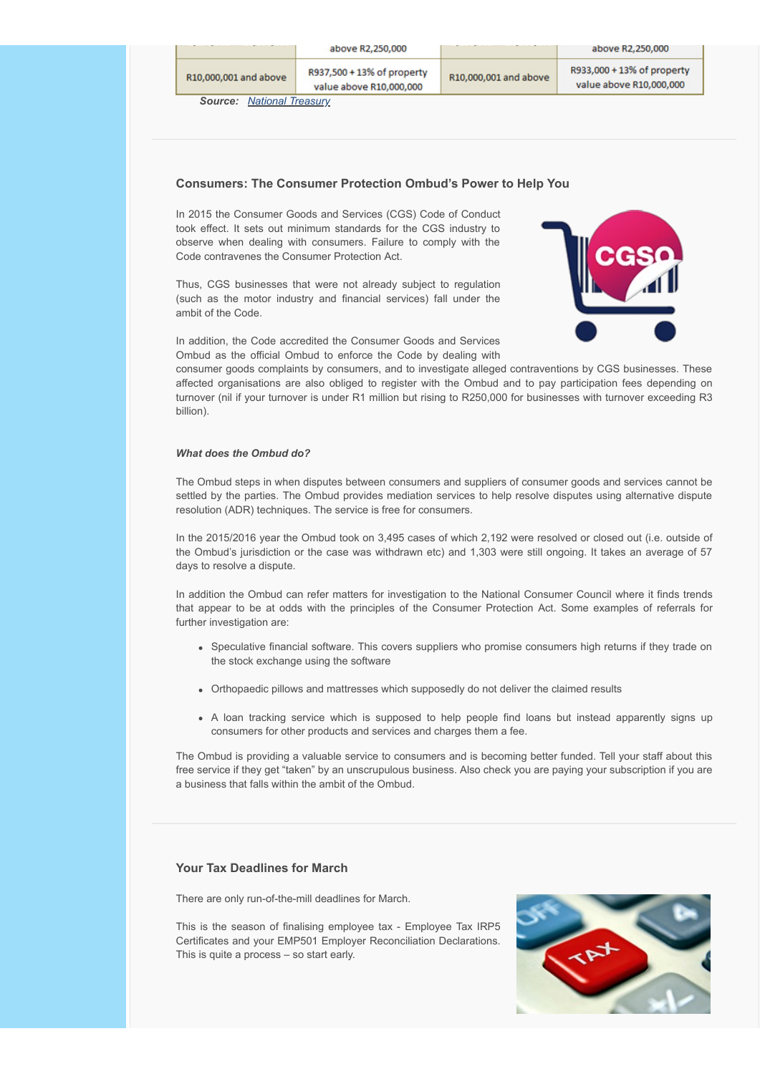|                                  |                       | above R2,250,000                                      |                       | above R2,250,000                                      |
|----------------------------------|-----------------------|-------------------------------------------------------|-----------------------|-------------------------------------------------------|
|                                  | R10,000,001 and above | R937,500 + 13% of property<br>value above R10,000,000 | R10,000,001 and above | R933,000 + 13% of property<br>value above R10,000,000 |
| <b>Source: National Treasury</b> |                       |                                                       |                       |                                                       |

## <span id="page-4-0"></span>**Consumers: The Consumer Protection Ombud's Power to Help You**

In 2015 the Consumer Goods and Services (CGS) Code of Conduct took effect. It sets out minimum standards for the CGS industry to observe when dealing with consumers. Failure to comply with the Code contravenes the Consumer Protection Act.

Thus, CGS businesses that were not already subject to regulation (such as the motor industry and financial services) fall under the ambit of the Code.



In addition, the Code accredited the Consumer Goods and Services Ombud as the official Ombud to enforce the Code by dealing with

consumer goods complaints by consumers, and to investigate alleged contraventions by CGS businesses. These affected organisations are also obliged to register with the Ombud and to pay participation fees depending on turnover (nil if your turnover is under R1 million but rising to R250,000 for businesses with turnover exceeding R3 billion).

#### *What does the Ombud do?*

The Ombud steps in when disputes between consumers and suppliers of consumer goods and services cannot be settled by the parties. The Ombud provides mediation services to help resolve disputes using alternative dispute resolution (ADR) techniques. The service is free for consumers.

In the 2015/2016 year the Ombud took on 3,495 cases of which 2,192 were resolved or closed out (i.e. outside of the Ombud's jurisdiction or the case was withdrawn etc) and 1,303 were still ongoing. It takes an average of 57 days to resolve a dispute.

In addition the Ombud can refer matters for investigation to the National Consumer Council where it finds trends that appear to be at odds with the principles of the Consumer Protection Act. Some examples of referrals for further investigation are:

- Speculative financial software. This covers suppliers who promise consumers high returns if they trade on the stock exchange using the software
- Orthopaedic pillows and mattresses which supposedly do not deliver the claimed results
- A loan tracking service which is supposed to help people find loans but instead apparently signs up consumers for other products and services and charges them a fee.

The Ombud is providing a valuable service to consumers and is becoming better funded. Tell your staff about this free service if they get "taken" by an unscrupulous business. Also check you are paying your subscription if you are a business that falls within the ambit of the Ombud.

### <span id="page-4-1"></span>**Your Tax Deadlines for March**

There are only run-of-the-mill deadlines for March.

This is the season of finalising employee tax - Employee Tax IRP5 Certificates and your EMP501 Employer Reconciliation Declarations. This is quite a process – so start early.